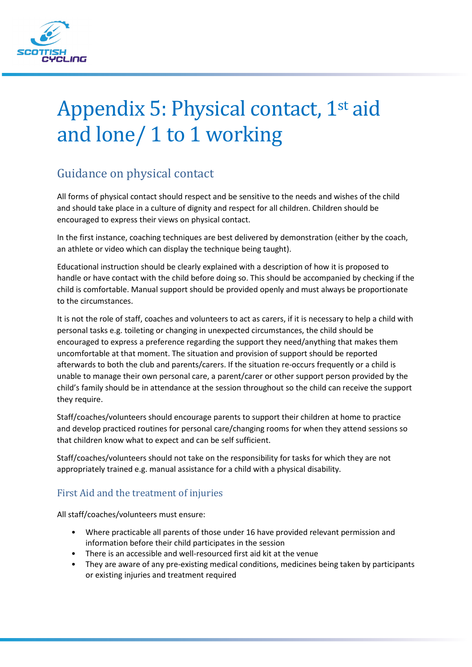

## Appendix 5: Physical contact, 1st aid and lone/ 1 to 1 working

## Guidance on physical contact

All forms of physical contact should respect and be sensitive to the needs and wishes of the child and should take place in a culture of dignity and respect for all children. Children should be encouraged to express their views on physical contact.

In the first instance, coaching techniques are best delivered by demonstration (either by the coach, an athlete or video which can display the technique being taught).

Educational instruction should be clearly explained with a description of how it is proposed to handle or have contact with the child before doing so. This should be accompanied by checking if the child is comfortable. Manual support should be provided openly and must always be proportionate to the circumstances.

It is not the role of staff, coaches and volunteers to act as carers, if it is necessary to help a child with personal tasks e.g. toileting or changing in unexpected circumstances, the child should be encouraged to express a preference regarding the support they need/anything that makes them uncomfortable at that moment. The situation and provision of support should be reported afterwards to both the club and parents/carers. If the situation re-occurs frequently or a child is unable to manage their own personal care, a parent/carer or other support person provided by the child's family should be in attendance at the session throughout so the child can receive the support they require.

Staff/coaches/volunteers should encourage parents to support their children at home to practice and develop practiced routines for personal care/changing rooms for when they attend sessions so that children know what to expect and can be self sufficient.

Staff/coaches/volunteers should not take on the responsibility for tasks for which they are not appropriately trained e.g. manual assistance for a child with a physical disability.

## First Aid and the treatment of injuries

All staff/coaches/volunteers must ensure:

- Where practicable all parents of those under 16 have provided relevant permission and information before their child participates in the session
- There is an accessible and well-resourced first aid kit at the venue
- They are aware of any pre-existing medical conditions, medicines being taken by participants or existing injuries and treatment required